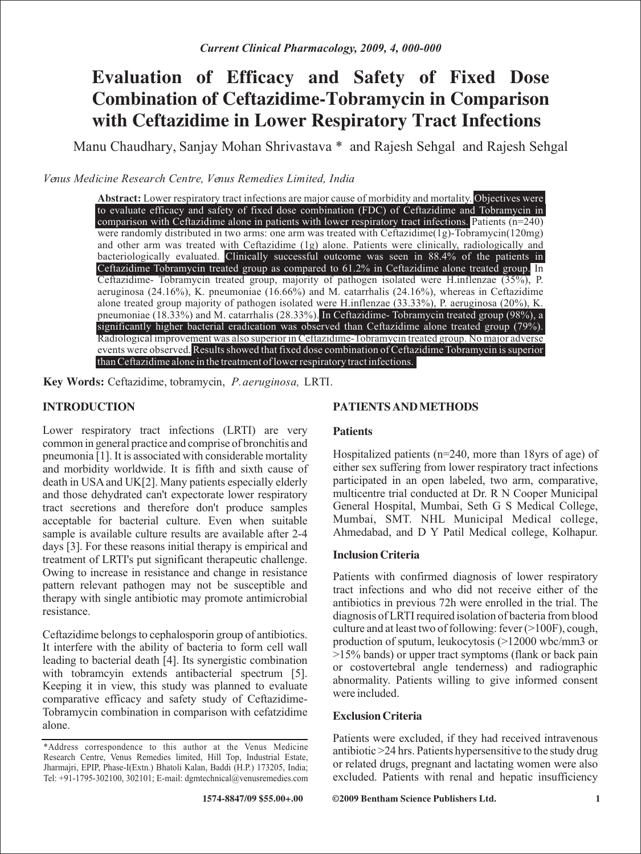# **E valuation of Efficacy and Safety of Fixed Dose Combination of Ceftazidime-Tobramycin in Comparison with Ceftazidime in Lower Respiratory Tract Infections**

Manu Chaudhary, Sanjay Mohan Shrivastava \* and Rajesh Sehgal and Rajesh Sehgal

*Venus Medicine Research Centre, Venus Remedies Limited, India* 

**Abstract:** Lower respiratory tract infections are major cause of morbidity and mortality. Objectives were comparison with Ceftazidime alone in patients with lower respiratory tract infections. Patients  $(n=240)$ were randomly distributed in two arms: one arm was treated with Ceftazidime(1g)-Tobramycin(120mg) and other arm was treated with Ceftazidime (1g) alone. Patients were clinically, radiologically and bacteriologically evaluated. Clinically successful outcome was seen in 88.4% of the patients in In Ceftazidime- Tobramycin treated group, majority of pathogen isolated were H.inflenzae (35%), P. aeruginosa (24.16%), K. pneumoniae (16.66%) and M. catarrhalis (24.16%), whereas in Ceftazidime alone treated group majority of pathogen isolated were H.inflenzae (33.33%), P. aeruginosa (20%), K. pneumoniae (18.33%) and M. catarrhalis (28.33%). In Ceftazidime- Tobramycin treated group (98%), a Radiological improvement was also superior in Ceftazidime-Tobramycin treated group. No major adverse events were observed. Results showed that fixed dose combination of Ceftazidime Tobramycin is superior to evaluate efficacy and safety of fixed dose combination (FDC) of Ceftazidime and Tobramycin in Ceftazidime Tobramycin treated group as compared to 61.2% in Ceftazidime alone treated group. significantly higher bacterial eradication was observed than Ceftazidime alone treated group (79%). than Ceftazidime alone in the treatment of lower respiratory tract infections.

**Key Words:** Ceftazidime, tobramycin, *P.aeruginosa,* LRTI.

# **INTRODUCTION**

Lower respiratory tract infections (LRTI) are very common in general practice and comprise of bronchitis and pneumonia [1]. It is associated with considerable mortality and morbidity worldwide. It is fifth and sixth cause of death in USA and UK[2]. Many patients especially elderly and those dehydrated can't expectorate lower respiratory tract secretions and therefore don't produce samples acceptable for bacterial culture. Even when suitable sample is available culture results are available after 2-4 days [3]. For these reasons initial therapy is empirical and treatment of LRTI's put significant therapeutic challenge. Owing to increase in resistance and change in resistance pattern relevant pathogen may not be susceptible and therapy with single antibiotic may promote antimicrobial resistance.

Ceftazidime belongs to cephalosporin group of antibiotics. It interfere with the ability of bacteria to form cell wall leading to bacterial death [4]. Its synergistic combination with tobramcyin extends antibacterial spectrum [5]. Keeping it in view, this study was planned to evaluate comparative efficacy and safety study of Ceftazidime-Tobramycin combination in comparison with cefatzidime alone.

# **PATIENTS AND METHODS**

# **Patients**

Hospitalized patients (n=240, more than 18yrs of age) of either sex suffering from lower respiratory tract infections participated in an open labeled, two arm, comparative, multicentre trial conducted at Dr. R N Cooper Municipal General Hospital, Mumbai, Seth G S Medical College, Mumbai, SMT. NHL Municipal Medical college, Ahmedabad, and D Y Patil Medical college, Kolhapur.

# **Inclusion Criteria**

Patients with confirmed diagnosis of lower respiratory tract infections and who did not receive either of the antibiotics in previous 72h were enrolled in the trial. The diagnosis of LRTI required isolation of bacteria from blood culture and at least two of following: fever (>100F), cough, production of sputum, leukocytosis (>12000 wbc/mm3 or  $>15\%$  bands) or upper tract symptoms (flank or back pain or costovertebral angle tenderness) and radiographic abnormality. Patients willing to give informed consent were included.

# **Exclusion Criteria**

Patients were excluded, if they had received intravenous antibiotic >24 hrs. Patients hypersensitive to the study drug or related drugs, pregnant and lactating women were also excluded. Patients with renal and hepatic insufficiency

**©2009 Bentham Science Publishers Ltd.**

<sup>\*</sup>A ddress correspondence to this author at the Venus Medicine Research Centre, Venus Remedies limited, Hill Top, Industrial Estate, Jharmajri, EPIP, Phase-I(Extn.) Bhatoli Kalan, Baddi (H.P.) 173205, India; Tel: +91-1795-302100, 302101; E-mail: dgmtechnical@venusremedies.com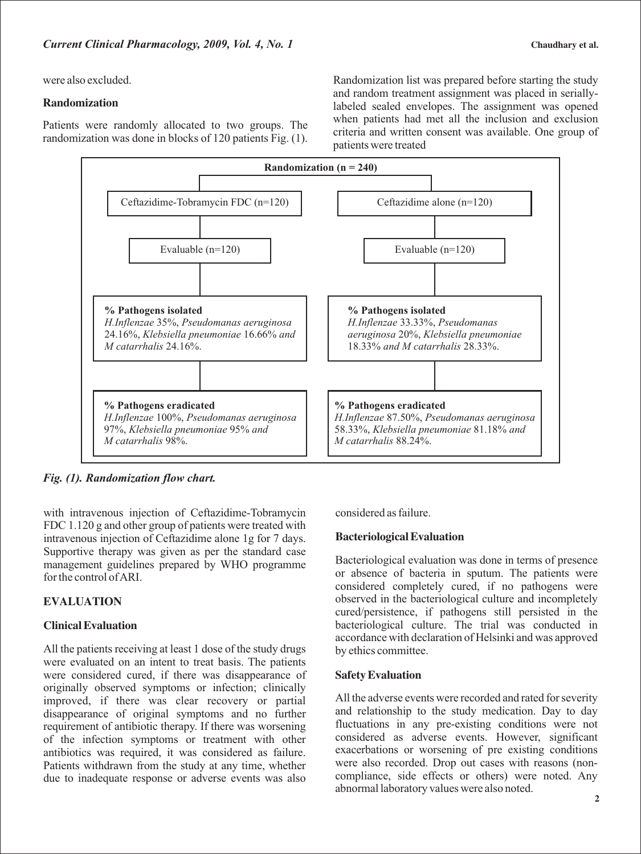were also excluded.

#### **Randomization**

Patients were randomly allocated to two groups. The randomization was done in blocks of 120 patients Fig. (1). Randomization list was prepared before starting the study and random treatment assignment was placed in seriallylabeled sealed envelopes. The assignment was opened when patients had met all the inclusion and exclusion criteria and written consent was available. One group of patients were treated



*Fig. (1). Randomization flow chart.*

with intravenous injection of Ceftazidime-Tobramycin FDC 1.120 g and other group of patients were treated with intravenous injection of Ceftazidime alone 1g for 7 days. Supportive therapy was given as per the standard case management guidelines prepared by WHO programme for the control of ARI.

# **EVALUATION**

# **Clinical Evaluation**

All the patients receiving at least 1 dose of the study drugs were evaluated on an intent to treat basis. The patients were considered cured, if there was disappearance of originally observed symptoms or infection; clinically improved, if there was clear recovery or partial disappearance of original symptoms and no further requirement of antibiotic therapy. If there was worsening of the infection symptoms or treatment with other antibiotics was required, it was considered as failure. Patients withdrawn from the study at any time, whether due to inadequate response or adverse events was also

considered as failure.

# **Bacteriological Evaluation**

Bacteriological evaluation was done in terms of presence or absence of bacteria in sputum. The patients were considered completely cured, if no pathogens were observed in the bacteriological culture and incompletely cured/persistence, if pathogens still persisted in the bacteriological culture. The trial was conducted in accordance with declaration of Helsinki and was approved by ethics committee.

#### **Safety Evaluation**

All the adverse events were recorded and rated for severity and relationship to the study medication. Day to day fluctuations in any pre-existing conditions were not considered as adverse events. However, significant exacerbations or worsening of pre existing conditions were also recorded. Drop out cases with reasons (noncompliance, side effects or others) were noted. Any abnormal laboratory values were also noted.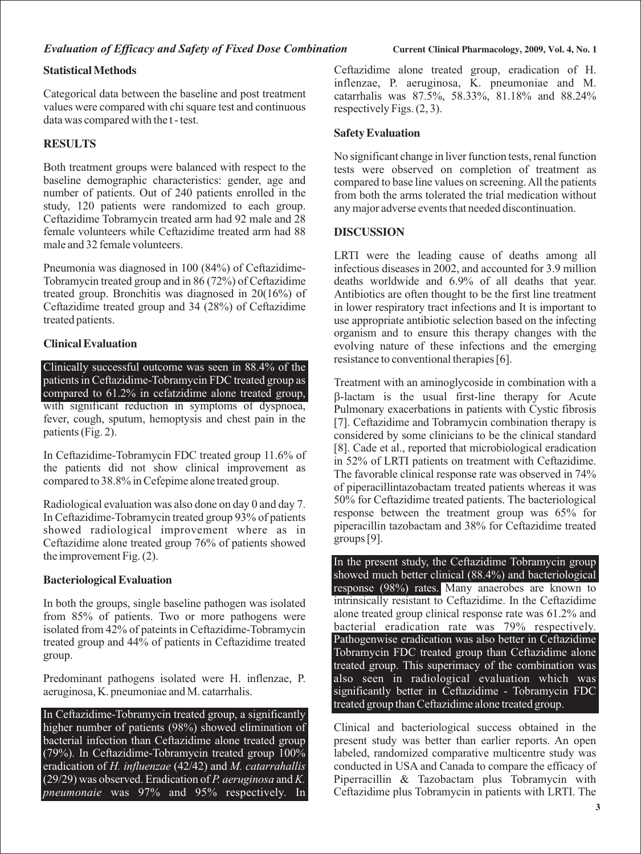# **Statistical Methods**

Categorical data between the baseline and post treatment values were compared with chi square test and continuous data was compared with the t - test.

# **RESULTS**

Both treatment groups were balanced with respect to the baseline demographic characteristics: gender, age and number of patients. Out of 240 patients enrolled in the study, 120 patients were randomized to each group. Ceftazidime Tobramycin treated arm had 92 male and 28 female volunteers while Ceftazidime treated arm had 88 male and 32 female volunteers.

Pneumonia was diagnosed in 100 (84%) of Ceftazidime-Tobramycin treated group and in 86 (72%) of Ceftazidime treated group. Bronchitis was diagnosed in 20(16%) of Ceftazidime treated group and 34 (28%) of Ceftazidime treated patients.

# **Clinical Evaluation**

with significant reduction in symptoms of dyspnoea, fever, cough, sputum, hemoptysis and chest pain in the patients (Fig. 2). Clinically successful outcome was seen in 88.4% of the patients in Ceftazidime-Tobramycin FDC treated group as compared to 61.2% in cefatzidime alone treated group,

In Ceftazidime-Tobramycin FDC treated group 11.6% of the patients did not show clinical improvement as compared to 38.8% in Cefepime alone treated group.

Radiological evaluation was also done on day 0 and day 7. In Ceftazidime-Tobramycin treated group 93% of patients showed radiological improvement where as in Ceftazidime alone treated group 76% of patients showed the improvement Fig. (2).

# **Bacteriological Evaluation**

In both the groups, single baseline pathogen was isolated from 85% of patients. Two or more pathogens were isolated from 42% of pateints in Ceftazidime-Tobramycin treated group and 44% of patients in Ceftazidime treated group.

Predominant pathogens isolated were H. inflenzae, P. aeruginosa, K. pneumoniae and M. catarrhalis.

In Ceftazidime-Tobramycin treated group, a significantly higher number of patients (98%) showed elimination of bacterial infection than Ceftazidime alone treated group (79%). In Ceftazidime-Tobramycin treated group  $100\%$ eradication of *H. influenzae* (42/42) and *M. catarrahallis* (29/29) was observed. Eradication of *P. aeruginosa* and *K. pneumonaie* was 97% and 95% respectively. In

Ceftazidime alone treated group, eradication of H. inflenzae, P. aeruginosa, K. pneumoniae and M. catarrhalis was 87.5%, 58.33%, 81.18% and 88.24% respectively Figs. (2, 3).

## **Safety Evaluation**

No significant change in liver function tests, renal function tests were observed on completion of treatment as compared to base line values on screening. All the patients from both the arms tolerated the trial medication without any major adverse events that needed discontinuation.

# **DISCUSSION**

LRTI were the leading cause of deaths among all infectious diseases in 2002, and accounted for 3.9 million deaths worldwide and 6.9% of all deaths that year. Antibiotics are often thought to be the first line treatment in lower respiratory tract infections and It is important to use appropriate antibiotic selection based on the infecting organism and to ensure this therapy changes with the evolving nature of these infections and the emerging resistance to conventional therapies [6].

b -lactam is the usual first-line therapy for Acute Treatment with an aminoglycoside in combination with a Pulmonary exacerbations in patients with Cystic fibrosis [7]. Ceftazidime and Tobramycin combination therapy is considered by some clinicians to be the clinical standard [8]. Cade et al., reported that microbiological eradication in 52% of LRTI patients on treatment with Ceftazidime. The favorable clinical response rate was observed in 74% of piperacillintazobactam treated patients whereas it was 50% for Ceftazidime treated patients. The bacteriological response between the treatment group was 65% for piperacillin tazobactam and 38% for Ceftazidime treated groups [9].

response (98%) rates. Many anaerobes are known to intrinsically resistant to Ceftazidime. In the Ceftazidime alone treated group clinical response rate was 61.2% and bacterial eradication rate was 79% respectively. In the present study, the Ceftazidime Tobramycin group showed much better clinical (88.4%) and bacteriological Pathogenwise eradication was also better in Ceftazidime Tobramycin FDC treated group than Ceftazidime alone treated group. This superimacy of the combination was also seen in radiological evaluation which was significantly better in Ceftazidime - Tobramycin FDC treated group than Ceftazidime alone treated group.

Clinical and bacteriological success obtained in the present study was better than earlier reports. An open labeled, randomized comparative multicentre study was conducted in USA and Canada to compare the efficacy of Piperracillin & Tazobactam plus Tobramycin with Ceftazidime plus Tobramycin in patients with LRTI. The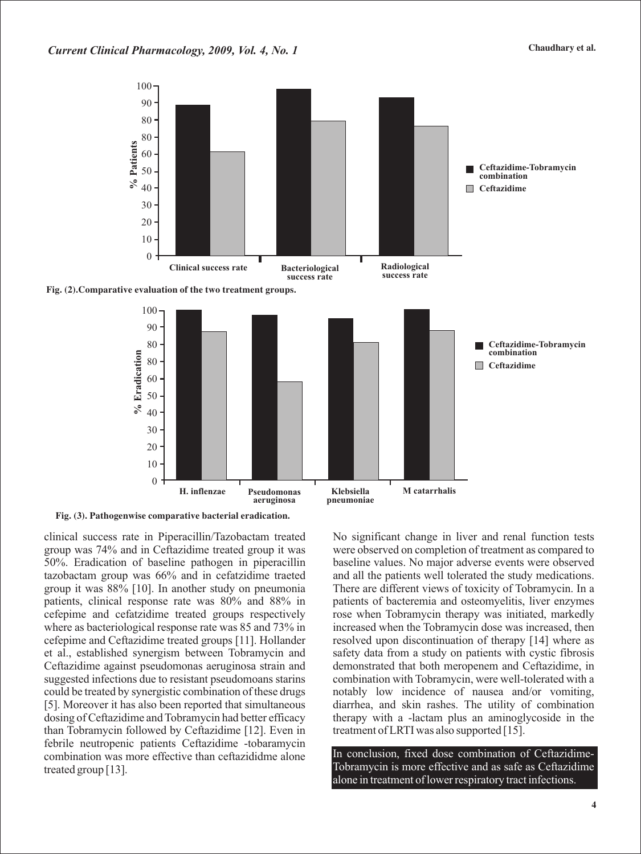



**Fig. (3). Pathogenwise comparative bacterial eradication.**

clinical success rate in Piperacillin/Tazobactam treated group was 74% and in Ceftazidime treated group it was 50%. Eradication of baseline pathogen in piperacillin tazobactam group was 66% and in cefatzidime traeted group it was 88% [10]. In another study on pneumonia patients, clinical response rate was 80% and 88% in cefepime and cefatzidime treated groups respectively where as bacteriological response rate was 85 and 73% in cefepime and Ceftazidime treated groups [11]. Hollander et al., established synergism between Tobramycin and Ceftazidime against pseudomonas aeruginosa strain and suggested infections due to resistant pseudomoans starins could be treated by synergistic combination of these drugs [5]. Moreover it has also been reported that simultaneous dosing of Ceftazidime and Tobramycin had better efficacy than Tobramycin followed by Ceftazidime [12]. Even in febrile neutropenic patients Ceftazidime -tobaramycin combination was more effective than ceftazididme alone treated group [13].

No significant change in liver and renal function tests were observed on completion of treatment as compared to baseline values. No major adverse events were observed and all the patients well tolerated the study medications. There are different views of toxicity of Tobramycin. In a patients of bacteremia and osteomyelitis, liver enzymes rose when Tobramycin therapy was initiated, markedly increased when the Tobramycin dose was increased, then resolved upon discontinuation of therapy [14] where as safety data from a study on patients with cystic fibrosis demonstrated that both meropenem and Ceftazidime, in combination with Tobramycin, were well-tolerated with a notably low incidence of nausea and/or vomiting, diarrhea, and skin rashes. The utility of combination therapy with a -lactam plus an aminoglycoside in the treatment of LRTI was also supported [15].

In conclusion, fixed dose combination of Ceftazidime-Tobramycin is more effective and as safe as Ceftazidime alone in treatment of lower respiratory tract infections.